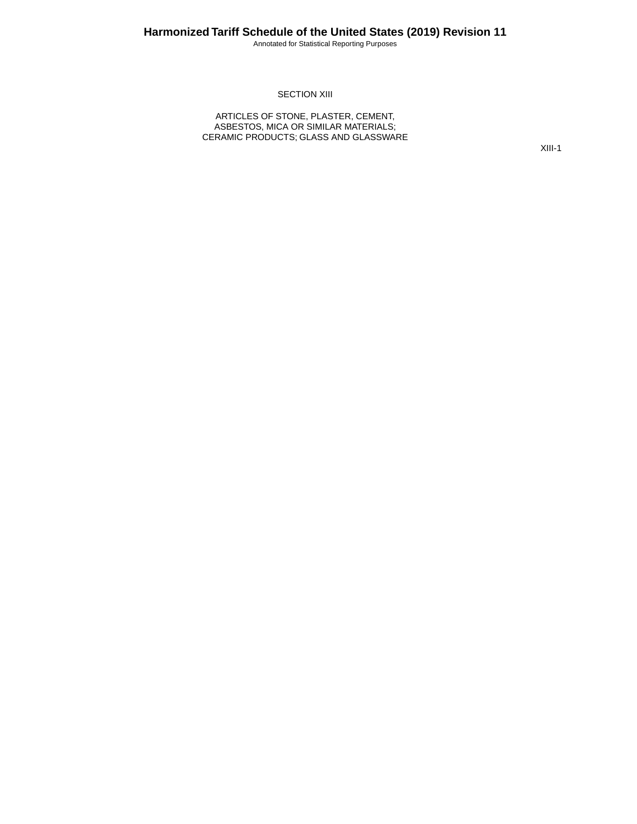Annotated for Statistical Reporting Purposes

#### **SECTION XIII**

ARTICLES OF STONE, PLASTER, CEMENT, ASBESTOS, MICA OR SIMILAR MATERIALS; CERAMIC PRODUCTS; GLASS AND GLASSWARE

XIII-1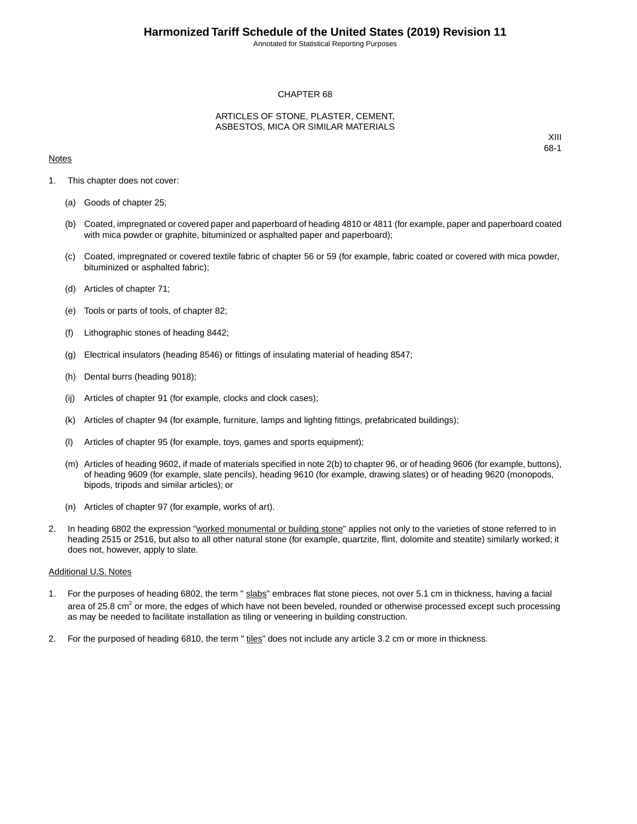Annotated for Statistical Reporting Purposes

#### CHAPTER 68

#### ARTICLES OF STONE, PLASTER, CEMENT, ASBESTOS, MICA OR SIMILAR MATERIALS

#### **Notes**

XIII 68-1

- 1. This chapter does not cover:
	- (a) Goods of chapter 25;
	- (b) Coated, impregnated or covered paper and paperboard of heading 4810 or 4811 (for example, paper and paperboard coated with mica powder or graphite, bituminized or asphalted paper and paperboard);
	- (c) Coated, impregnated or covered textile fabric of chapter 56 or 59 (for example, fabric coated or covered with mica powder, bituminized or asphalted fabric);
	- (d) Articles of chapter 71;
	- (e) Tools or parts of tools, of chapter 82;
	- (f) Lithographic stones of heading 8442;
	- (g) Electrical insulators (heading 8546) or fittings of insulating material of heading 8547;
	- (h) Dental burrs (heading 9018);
	- (ij) Articles of chapter 91 (for example, clocks and clock cases);
	- (k) Articles of chapter 94 (for example, furniture, lamps and lighting fittings, prefabricated buildings);
	- (l) Articles of chapter 95 (for example, toys, games and sports equipment);
	- (m) Articles of heading 9602, if made of materials specified in note 2(b) to chapter 96, or of heading 9606 (for example, buttons), of heading 9609 (for example, slate pencils), heading 9610 (for example, drawing slates) or of heading 9620 (monopods, bipods, tripods and similar articles); or
	- (n) Articles of chapter 97 (for example, works of art).
- 2. In heading 6802 the expression "worked monumental or building stone" applies not only to the varieties of stone referred to in heading 2515 or 2516, but also to all other natural stone (for example, quartzite, flint, dolomite and steatite) similarly worked; it does not, however, apply to slate.

#### Additional U.S. Notes

- 1. For the purposes of heading 6802, the term " slabs" embraces flat stone pieces, not over 5.1 cm in thickness, having a facial area of 25.8 cm<sup>2</sup> or more, the edges of which have not been beveled, rounded or otherwise processed except such processing as may be needed to facilitate installation as tiling or veneering in building construction.
- 2. For the purposed of heading 6810, the term " tiles" does not include any article 3.2 cm or more in thickness.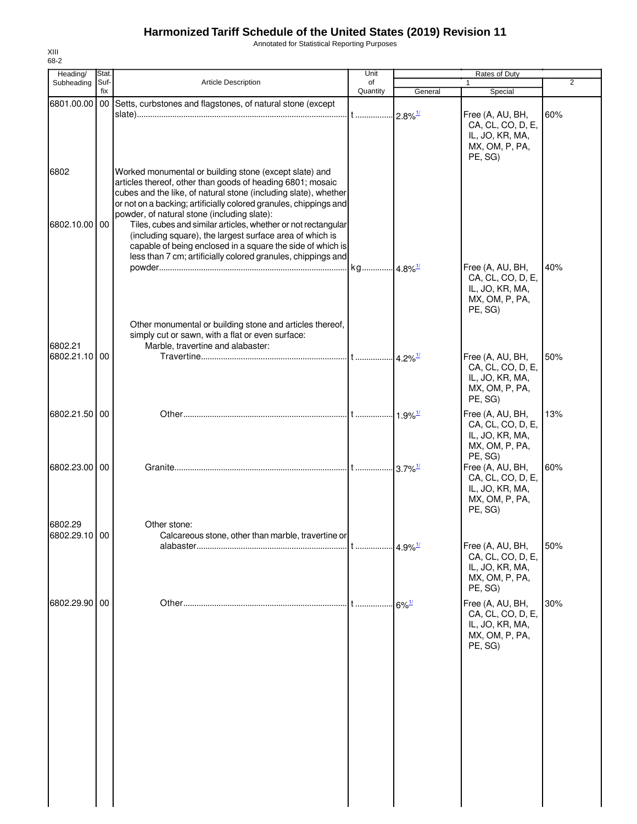Annotated for Statistical Reporting Purposes

| Suf-          | <b>Article Description</b>                                                                                                                                                                                                                                                                                                                                                                                                            |                                                                                                                                                                                                   |         |                                                                                                                             |                                                                     |
|---------------|---------------------------------------------------------------------------------------------------------------------------------------------------------------------------------------------------------------------------------------------------------------------------------------------------------------------------------------------------------------------------------------------------------------------------------------|---------------------------------------------------------------------------------------------------------------------------------------------------------------------------------------------------|---------|-----------------------------------------------------------------------------------------------------------------------------|---------------------------------------------------------------------|
| fix           |                                                                                                                                                                                                                                                                                                                                                                                                                                       | of<br>Quantity                                                                                                                                                                                    | General | $\mathbf{1}$<br>Special                                                                                                     | 2                                                                   |
|               | 6801.00.00 00 Setts, curbstones and flagstones, of natural stone (except                                                                                                                                                                                                                                                                                                                                                              |                                                                                                                                                                                                   |         | Free (A, AU, BH,<br>CA, CL, CO, D, E,<br>IL, JO, KR, MA,<br>MX, OM, P, PA,<br>PE, SG)                                       | 60%                                                                 |
| 6802.10.00 00 | Worked monumental or building stone (except slate) and<br>articles thereof, other than goods of heading 6801; mosaic<br>cubes and the like, of natural stone (including slate), whether<br>or not on a backing; artificially colored granules, chippings and<br>powder, of natural stone (including slate):<br>(including square), the largest surface area of which is<br>capable of being enclosed in a square the side of which is |                                                                                                                                                                                                   |         |                                                                                                                             |                                                                     |
|               | Other monumental or building stone and articles thereof,                                                                                                                                                                                                                                                                                                                                                                              |                                                                                                                                                                                                   |         | CA, CL, CO, D, E,<br>IL, JO, KR, MA,<br>MX, OM, P, PA,<br>PE, SG)                                                           | 40%                                                                 |
| 6802.21.10 00 | Marble, travertine and alabaster:                                                                                                                                                                                                                                                                                                                                                                                                     |                                                                                                                                                                                                   |         | CA, CL, CO, D, E,<br>IL, JO, KR, MA,<br>MX, OM, P, PA,<br>PE, SG)                                                           | 50%                                                                 |
| 6802.21.50 00 |                                                                                                                                                                                                                                                                                                                                                                                                                                       |                                                                                                                                                                                                   |         | Free (A, AU, BH,<br>CA, CL, CO, D, E,<br>IL, JO, KR, MA,<br>MX, OM, P, PA,                                                  | 13%                                                                 |
| 6802.23.00 00 |                                                                                                                                                                                                                                                                                                                                                                                                                                       |                                                                                                                                                                                                   |         | Free (A, AU, BH,<br>CA, CL, CO, D, E,<br>IL, JO, KR, MA,<br>MX, OM, P, PA,<br>PE, SG)                                       | 60%                                                                 |
| 6802.29.10 00 | Calcareous stone, other than marble, travertine or                                                                                                                                                                                                                                                                                                                                                                                    |                                                                                                                                                                                                   |         | CA, CL, CO, D, E,<br>IL, JO, KR, MA,<br>MX, OM, P, PA,<br>PE, SG)                                                           | 50%                                                                 |
| 6802.29.90 00 |                                                                                                                                                                                                                                                                                                                                                                                                                                       |                                                                                                                                                                                                   |         | Free (A, AU, BH,<br>CA, CL, CO, D, E,<br>IL, JO, KR, MA,<br>MX, OM, P, PA,<br>PE, SG)                                       | 30%                                                                 |
|               |                                                                                                                                                                                                                                                                                                                                                                                                                                       | Tiles, cubes and similar articles, whether or not rectangular<br>less than 7 cm; artificially colored granules, chippings and<br>simply cut or sawn, with a flat or even surface:<br>Other stone: |         | $-2.8\%$ <sup>1/</sup><br>$1.9\%$ <sup>1/</sup><br>$-3.7\%$ <sup>1/</sup><br>$4.9\%$ <sup>1/</sup><br>$.16\%$ <sup>1/</sup> | Free (A, AU, BH,<br>Free (A, AU, BH,<br>PE, SG)<br>Free (A, AU, BH, |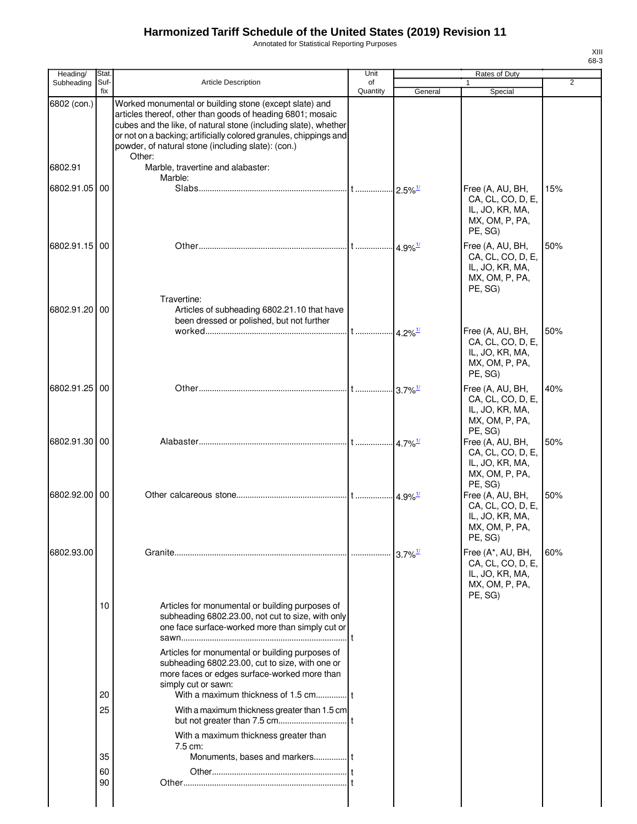Annotated for Statistical Reporting Purposes

| ۰, |  |
|----|--|

| Heading/      | Stat.       |                                                                                                                                                                                                                                                                                                                              | Unit           |                         | Rates of Duty                                                                                    |                |
|---------------|-------------|------------------------------------------------------------------------------------------------------------------------------------------------------------------------------------------------------------------------------------------------------------------------------------------------------------------------------|----------------|-------------------------|--------------------------------------------------------------------------------------------------|----------------|
| Subheading    | Suf-<br>fix | <b>Article Description</b>                                                                                                                                                                                                                                                                                                   | of<br>Quantity | General                 | 1<br>Special                                                                                     | $\overline{2}$ |
| 6802 (con.)   |             | Worked monumental or building stone (except slate) and<br>articles thereof, other than goods of heading 6801; mosaic<br>cubes and the like, of natural stone (including slate), whether<br>or not on a backing; artificially colored granules, chippings and<br>powder, of natural stone (including slate): (con.)<br>Other: |                |                         |                                                                                                  |                |
| 6802.91       |             | Marble, travertine and alabaster:                                                                                                                                                                                                                                                                                            |                |                         |                                                                                                  |                |
| 6802.91.05 00 |             | Marble:                                                                                                                                                                                                                                                                                                                      |                | $.12.5\%$ <sup>1/</sup> | Free (A, AU, BH,                                                                                 | 15%            |
|               |             |                                                                                                                                                                                                                                                                                                                              |                |                         | CA, CL, CO, D, E,<br>IL, JO, KR, MA,<br>MX, OM, P, PA,<br>PE, SG)                                |                |
| 6802.91.15 00 |             | Travertine:                                                                                                                                                                                                                                                                                                                  |                |                         | Free (A, AU, BH,<br>CA, CL, CO, D, E,<br>IL, JO, KR, MA,<br>MX, OM, P, PA,<br>PE, SG)            | 50%            |
| 6802.91.20 00 |             | Articles of subheading 6802.21.10 that have<br>been dressed or polished, but not further                                                                                                                                                                                                                                     |                |                         |                                                                                                  |                |
|               |             |                                                                                                                                                                                                                                                                                                                              |                |                         | Free (A, AU, BH,<br>CA, CL, CO, D, E,<br>IL, JO, KR, MA,<br>MX, OM, P, PA,<br>PE, SG)            | 50%            |
| 6802.91.25 00 |             |                                                                                                                                                                                                                                                                                                                              |                | $-3.7\%$ <sup>1/</sup>  | Free (A, AU, BH,<br>CA, CL, CO, D, E,<br>IL, JO, KR, MA,<br>MX, OM, P, PA,                       | 40%            |
| 6802.91.30 00 |             |                                                                                                                                                                                                                                                                                                                              |                | $4.7\%$ <sup>1/</sup>   | PE, SG)<br>Free (A, AU, BH,<br>CA, CL, CO, D, E,<br>IL, JO, KR, MA,<br>MX, OM, P, PA,            | 50%            |
| 6802.92.00 00 |             |                                                                                                                                                                                                                                                                                                                              |                |                         | PE, SG)<br>Free (A, AU, BH,<br>CA, CL, CO, D, E,<br>IL, JO, KR, MA,<br>MX, OM, P, PA,<br>PE, SG) | 50%            |
| 6802.93.00    |             |                                                                                                                                                                                                                                                                                                                              |                |                         | Free (A*, AU, BH,<br>CA, CL, CO, D, E,<br>IL, JO, KR, MA,<br>MX, OM, P, PA,<br>PE, SG)           | 60%            |
|               | 10          | Articles for monumental or building purposes of<br>subheading 6802.23.00, not cut to size, with only<br>one face surface-worked more than simply cut or                                                                                                                                                                      |                |                         |                                                                                                  |                |
|               | 20          | Articles for monumental or building purposes of<br>subheading 6802.23.00, cut to size, with one or<br>more faces or edges surface-worked more than<br>simply cut or sawn:                                                                                                                                                    |                |                         |                                                                                                  |                |
|               | 25          | With a maximum thickness greater than 1.5 cm                                                                                                                                                                                                                                                                                 |                |                         |                                                                                                  |                |
|               |             | With a maximum thickness greater than                                                                                                                                                                                                                                                                                        |                |                         |                                                                                                  |                |
|               | 35          | 7.5 cm:                                                                                                                                                                                                                                                                                                                      |                |                         |                                                                                                  |                |
|               | 60<br>90    |                                                                                                                                                                                                                                                                                                                              |                |                         |                                                                                                  |                |
|               |             |                                                                                                                                                                                                                                                                                                                              |                |                         |                                                                                                  |                |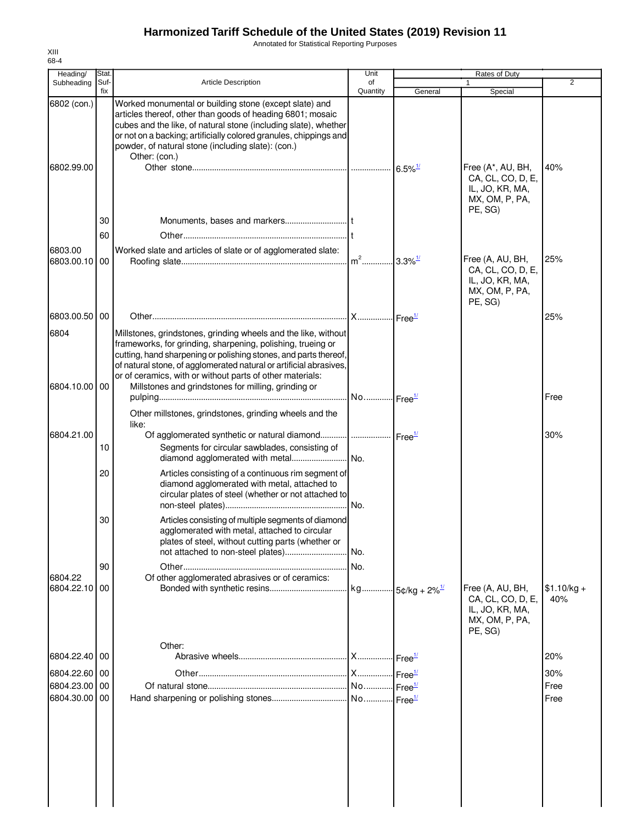Annotated for Statistical Reporting Purposes

| Heading/                  | Stat.       |                                                                                                                                                                                                                                                                                                                                      | Unit                  |                              | Rates of Duty                                                                         |                     |
|---------------------------|-------------|--------------------------------------------------------------------------------------------------------------------------------------------------------------------------------------------------------------------------------------------------------------------------------------------------------------------------------------|-----------------------|------------------------------|---------------------------------------------------------------------------------------|---------------------|
| Subheading                | Suf-<br>fix | <b>Article Description</b>                                                                                                                                                                                                                                                                                                           | of<br>Quantity        | General                      | $\mathbf{1}$<br>Special                                                               | 2                   |
| 6802 (con.)<br>6802.99.00 |             | Worked monumental or building stone (except slate) and<br>articles thereof, other than goods of heading 6801; mosaic<br>cubes and the like, of natural stone (including slate), whether<br>or not on a backing; artificially colored granules, chippings and<br>powder, of natural stone (including slate): (con.)<br>Other: (con.)  |                       | $6.5\%$ <sup>1/</sup>        | Free (A*, AU, BH,<br>CA, CL, CO, D, E,                                                | 40%                 |
|                           | 30<br>60    |                                                                                                                                                                                                                                                                                                                                      |                       |                              | IL, JO, KR, MA,<br>MX, OM, P, PA,<br>PE, SG)                                          |                     |
| 6803.00<br>6803.00.10     | 00          | Worked slate and articles of slate or of agglomerated slate:                                                                                                                                                                                                                                                                         | $m2$                  | $3.3\%$ <sup>1/</sup>        | Free (A, AU, BH,<br>CA, CL, CO, D, E,<br>IL, JO, KR, MA,<br>MX, OM, P, PA,<br>PE, SG) | 25%                 |
| 6803.00.50                | 00          |                                                                                                                                                                                                                                                                                                                                      | X Free <sup>1/</sup>  |                              |                                                                                       | 25%                 |
| 6804                      |             | Millstones, grindstones, grinding wheels and the like, without<br>frameworks, for grinding, sharpening, polishing, trueing or<br>cutting, hand sharpening or polishing stones, and parts thereof,<br>of natural stone, of agglomerated natural or artificial abrasives,<br>or of ceramics, with or without parts of other materials: |                       |                              |                                                                                       |                     |
| 6804.10.00 00             |             | Millstones and grindstones for milling, grinding or<br>Other millstones, grindstones, grinding wheels and the                                                                                                                                                                                                                        | No Free <sup>1/</sup> |                              |                                                                                       | Free                |
|                           |             | like:                                                                                                                                                                                                                                                                                                                                |                       |                              |                                                                                       |                     |
| 6804.21.00                | 10          | Of agglomerated synthetic or natural diamond<br>Segments for circular sawblades, consisting of                                                                                                                                                                                                                                       | Free <sup>1/</sup>    |                              |                                                                                       | 30%                 |
|                           | 20          | Articles consisting of a continuous rim segment of<br>diamond agglomerated with metal, attached to<br>circular plates of steel (whether or not attached to                                                                                                                                                                           | No.                   |                              |                                                                                       |                     |
|                           | 30          | Articles consisting of multiple segments of diamond<br>agglomerated with metal, attached to circular<br>plates of steel, without cutting parts (whether or                                                                                                                                                                           | No.                   |                              |                                                                                       |                     |
|                           | 90          |                                                                                                                                                                                                                                                                                                                                      | No.                   |                              |                                                                                       |                     |
| 6804.22                   |             | Of other agglomerated abrasives or of ceramics:                                                                                                                                                                                                                                                                                      |                       |                              |                                                                                       |                     |
| 6804.22.10                | 00          |                                                                                                                                                                                                                                                                                                                                      | kg                    | $-5$ ¢/kg + 2% $\frac{1}{2}$ | Free (A, AU, BH,<br>CA, CL, CO, D, E,<br>IL, JO, KR, MA,<br>MX, OM, P, PA,<br>PE, SG) | $$1.10/kg +$<br>40% |
| 6804.22.40                | 00          | Other:                                                                                                                                                                                                                                                                                                                               | <b>X</b>              | Free <sup>1/</sup>           |                                                                                       | 20%                 |
| 6804.22.60 00             |             |                                                                                                                                                                                                                                                                                                                                      | X                     | Free <sup>1/</sup>           |                                                                                       | 30%                 |
| 6804.23.00 00             |             |                                                                                                                                                                                                                                                                                                                                      | No                    | Free <sup>1/</sup>           |                                                                                       | Free                |
| 6804.30.00                | 00          |                                                                                                                                                                                                                                                                                                                                      |                       | $\cdot$ Free $\frac{1}{2}$   |                                                                                       | Free                |
|                           |             |                                                                                                                                                                                                                                                                                                                                      |                       |                              |                                                                                       |                     |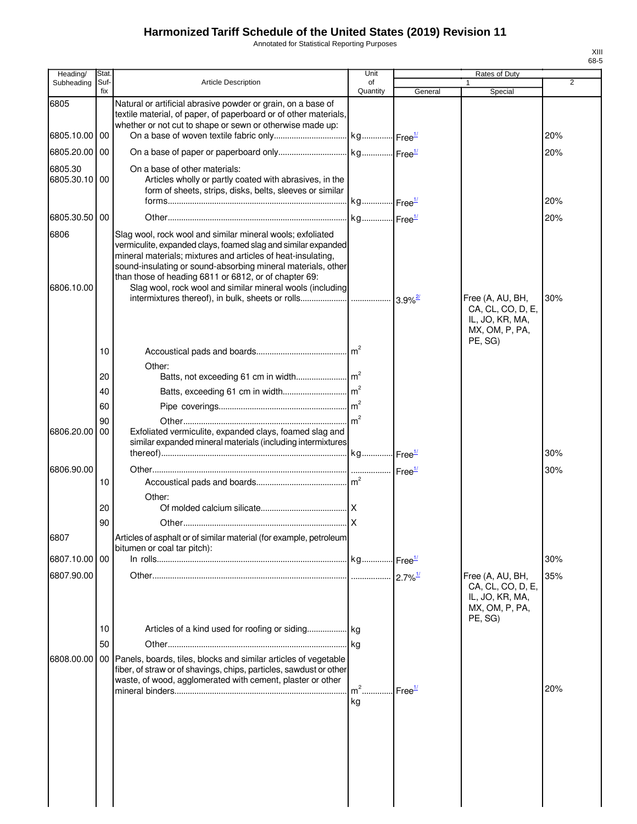Annotated for Statistical Reporting Purposes

| Heading/                 | Stat.       |                                                                                                                                                                                                                                                                                                                                                                                   | Unit           |                    | Rates of Duty                                                                         |                |
|--------------------------|-------------|-----------------------------------------------------------------------------------------------------------------------------------------------------------------------------------------------------------------------------------------------------------------------------------------------------------------------------------------------------------------------------------|----------------|--------------------|---------------------------------------------------------------------------------------|----------------|
| Subheading               | Suf-<br>fix | <b>Article Description</b>                                                                                                                                                                                                                                                                                                                                                        | of<br>Quantity | General            | Special                                                                               | $\overline{2}$ |
| 6805                     |             | Natural or artificial abrasive powder or grain, on a base of<br>textile material, of paper, of paperboard or of other materials,<br>whether or not cut to shape or sewn or otherwise made up:                                                                                                                                                                                     |                |                    |                                                                                       |                |
| 6805.10.00 00            |             |                                                                                                                                                                                                                                                                                                                                                                                   |                |                    |                                                                                       | 20%            |
| 6805.20.00 00            |             |                                                                                                                                                                                                                                                                                                                                                                                   |                |                    |                                                                                       | 20%            |
| 6805.30<br>6805.30.10 00 |             | On a base of other materials:<br>Articles wholly or partly coated with abrasives, in the<br>form of sheets, strips, disks, belts, sleeves or similar                                                                                                                                                                                                                              |                |                    |                                                                                       | 20%            |
| 6805.30.50 00            |             |                                                                                                                                                                                                                                                                                                                                                                                   |                |                    |                                                                                       | 20%            |
| 6806<br>6806.10.00       |             | Slag wool, rock wool and similar mineral wools; exfoliated<br>vermiculite, expanded clays, foamed slag and similar expanded<br>mineral materials; mixtures and articles of heat-insulating,<br>sound-insulating or sound-absorbing mineral materials, other<br>than those of heading 6811 or 6812, or of chapter 69:<br>Slag wool, rock wool and similar mineral wools (including |                |                    |                                                                                       |                |
|                          |             |                                                                                                                                                                                                                                                                                                                                                                                   |                |                    | Free (A, AU, BH,<br>CA, CL, CO, D, E,<br>IL, JO, KR, MA,<br>MX, OM, P, PA,<br>PE, SG) | 30%            |
|                          | 10          |                                                                                                                                                                                                                                                                                                                                                                                   |                |                    |                                                                                       |                |
|                          |             | Other:                                                                                                                                                                                                                                                                                                                                                                            |                |                    |                                                                                       |                |
|                          | 20          |                                                                                                                                                                                                                                                                                                                                                                                   |                |                    |                                                                                       |                |
|                          | 40<br>60    |                                                                                                                                                                                                                                                                                                                                                                                   |                |                    |                                                                                       |                |
|                          | 90          |                                                                                                                                                                                                                                                                                                                                                                                   |                |                    |                                                                                       |                |
| 6806.20.00               | 00          | Exfoliated vermiculite, expanded clays, foamed slag and<br>similar expanded mineral materials (including intermixtures                                                                                                                                                                                                                                                            |                |                    |                                                                                       |                |
|                          |             |                                                                                                                                                                                                                                                                                                                                                                                   |                |                    |                                                                                       | 30%            |
| 6806.90.00               | 10          |                                                                                                                                                                                                                                                                                                                                                                                   |                |                    |                                                                                       | 30%            |
|                          | 20          | Other:                                                                                                                                                                                                                                                                                                                                                                            |                |                    |                                                                                       |                |
|                          | 90          |                                                                                                                                                                                                                                                                                                                                                                                   |                |                    |                                                                                       |                |
| 6807                     |             | Articles of asphalt or of similar material (for example, petroleum<br>bitumen or coal tar pitch):                                                                                                                                                                                                                                                                                 |                |                    |                                                                                       |                |
| 6807.10.00 00            |             |                                                                                                                                                                                                                                                                                                                                                                                   |                |                    |                                                                                       | 30%            |
| 6807.90.00               |             |                                                                                                                                                                                                                                                                                                                                                                                   |                |                    | Free (A, AU, BH,<br>CA, CL, CO, D, E,<br>IL, JO, KR, MA,<br>MX, OM, P, PA,            | 35%            |
|                          | 10          |                                                                                                                                                                                                                                                                                                                                                                                   |                |                    | PE, SG)                                                                               |                |
|                          | 50          |                                                                                                                                                                                                                                                                                                                                                                                   |                |                    |                                                                                       |                |
| 6808.00.00               |             | 00 Panels, boards, tiles, blocks and similar articles of vegetable<br>fiber, of straw or of shavings, chips, particles, sawdust or other<br>waste, of wood, agglomerated with cement, plaster or other                                                                                                                                                                            |                |                    |                                                                                       |                |
|                          |             |                                                                                                                                                                                                                                                                                                                                                                                   | $m2$<br>kg     | Free <sup>1/</sup> |                                                                                       | 20%            |
|                          |             |                                                                                                                                                                                                                                                                                                                                                                                   |                |                    |                                                                                       |                |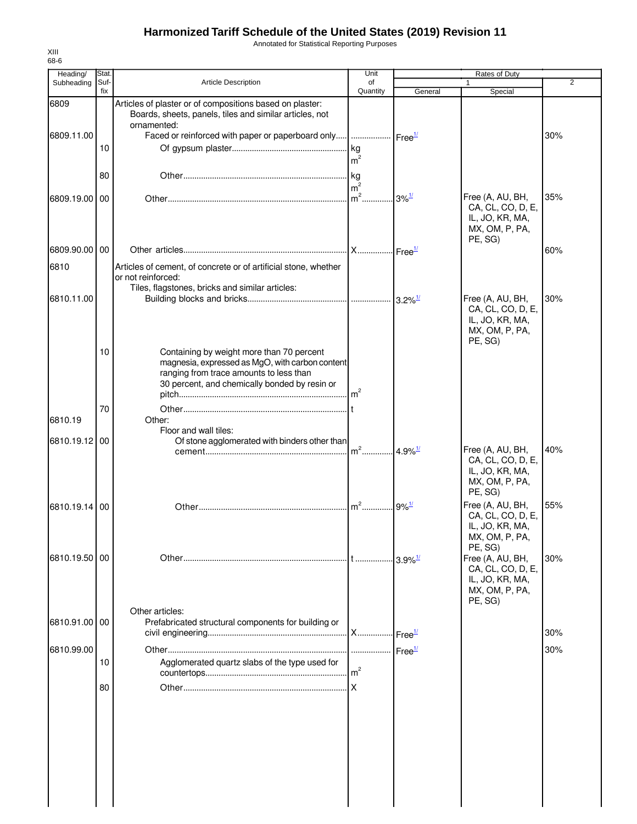Annotated for Statistical Reporting Purposes

| Heading/      | Stat.       |                                                                                                                                                                                          | Unit                   |                        | Rates of Duty                                                                         |     |
|---------------|-------------|------------------------------------------------------------------------------------------------------------------------------------------------------------------------------------------|------------------------|------------------------|---------------------------------------------------------------------------------------|-----|
| Subheading    | Suf-<br>fix | <b>Article Description</b>                                                                                                                                                               | of<br>Quantity         | General                | Special                                                                               | 2   |
| 6809          |             | Articles of plaster or of compositions based on plaster:<br>Boards, sheets, panels, tiles and similar articles, not<br>ornamented:                                                       |                        |                        |                                                                                       |     |
| 6809.11.00    |             | Faced or reinforced with paper or paperboard only  Free <sup>1/</sup>                                                                                                                    |                        |                        |                                                                                       | 30% |
|               | 10          |                                                                                                                                                                                          | kg<br>m <sup>2</sup>   |                        |                                                                                       |     |
|               | 80          |                                                                                                                                                                                          | . kg<br>m <sup>2</sup> |                        |                                                                                       |     |
| 6809.19.00 00 |             |                                                                                                                                                                                          | $m2$ .                 | $3\%$ <sup>1/</sup>    | Free (A, AU, BH,<br>CA, CL, CO, D, E,<br>IL, JO, KR, MA,<br>MX, OM, P, PA,<br>PE, SG) | 35% |
| 6809.90.00 00 |             |                                                                                                                                                                                          |                        |                        |                                                                                       | 60% |
| 6810          |             | Articles of cement, of concrete or of artificial stone, whether<br>or not reinforced:                                                                                                    |                        |                        |                                                                                       |     |
| 6810.11.00    |             | Tiles, flagstones, bricks and similar articles:                                                                                                                                          |                        |                        | Free (A, AU, BH,                                                                      | 30% |
|               |             |                                                                                                                                                                                          |                        |                        | CA, CL, CO, D, E,<br>IL, JO, KR, MA,<br>MX, OM, P, PA,<br>PE, SG)                     |     |
|               | 10          | Containing by weight more than 70 percent<br>magnesia, expressed as MgO, with carbon content<br>ranging from trace amounts to less than<br>30 percent, and chemically bonded by resin or |                        |                        |                                                                                       |     |
|               | 70          |                                                                                                                                                                                          |                        |                        |                                                                                       |     |
| 6810.19       |             | Other:                                                                                                                                                                                   |                        |                        |                                                                                       |     |
| 6810.19.12    | 00          | Floor and wall tiles:<br>Of stone agglomerated with binders other than                                                                                                                   |                        |                        |                                                                                       |     |
|               |             |                                                                                                                                                                                          | $m2$                   | $.14.9\%$              | Free (A, AU, BH,<br>CA, CL, CO, D, E,<br>IL, JO, KR, MA,<br>MX, OM, P, PA,<br>PE, SG) | 40% |
| 6810.19.14 00 |             |                                                                                                                                                                                          | $m^2$                  | $9\%$ <sup>1/</sup>    | Free (A, AU, BH,<br>CA, CL, CO, D, E,<br>IL, JO, KR, MA,<br>MX, OM, P, PA,<br>PE, SG) | 55% |
| 6810.19.50 00 |             |                                                                                                                                                                                          | It                     | $-3.9\%$ <sup>1/</sup> | Free (A, AU, BH,<br>CA, CL, CO, D, E,<br>IL, JO, KR, MA,<br>MX, OM, P, PA,<br>PE, SG) | 30% |
| 6810.91.00 00 |             | Other articles:<br>Prefabricated structural components for building or                                                                                                                   |                        | Free <sup>1/</sup>     |                                                                                       | 30% |
| 6810.99.00    |             |                                                                                                                                                                                          |                        |                        |                                                                                       | 30% |
|               | 10          | Agglomerated quartz slabs of the type used for                                                                                                                                           | m <sup>2</sup>         |                        |                                                                                       |     |
|               | 80          |                                                                                                                                                                                          |                        |                        |                                                                                       |     |
|               |             |                                                                                                                                                                                          |                        |                        |                                                                                       |     |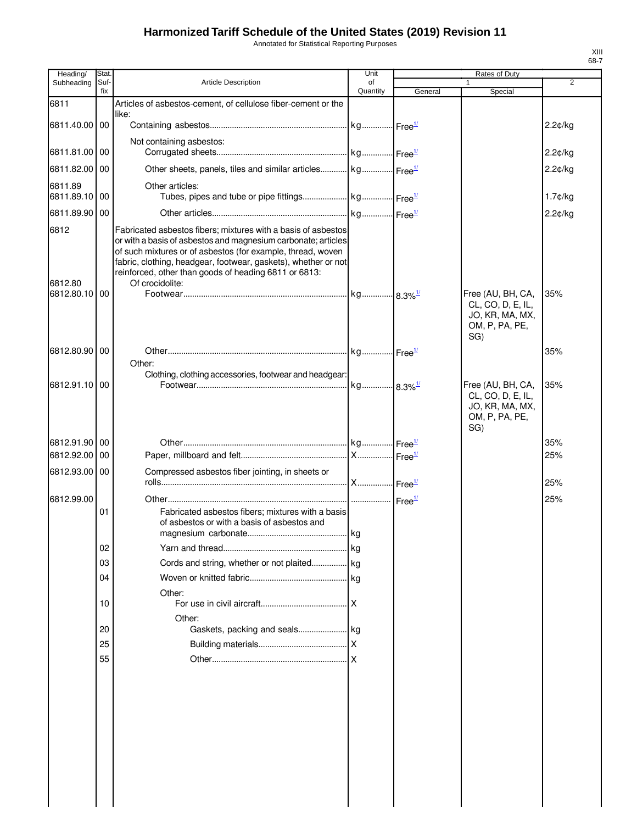Annotated for Statistical Reporting Purposes

| Heading/                 | Stat.       |                                                                                                                               | Unit                  |         | Rates of Duty                     |            |
|--------------------------|-------------|-------------------------------------------------------------------------------------------------------------------------------|-----------------------|---------|-----------------------------------|------------|
| Subheading               | Suf-<br>fix | Article Description                                                                                                           | of<br>Quantity        | General | 1<br>Special                      | 2          |
| 6811                     |             | Articles of asbestos-cement, of cellulose fiber-cement or the                                                                 |                       |         |                                   |            |
|                          |             | like:                                                                                                                         |                       |         |                                   |            |
| 6811.40.00 00            |             |                                                                                                                               |                       |         |                                   | 2.2¢/kg    |
| 6811.81.00 00            |             | Not containing asbestos:                                                                                                      |                       |         |                                   |            |
|                          |             |                                                                                                                               |                       |         |                                   | $2.2$ c/kg |
| 6811.82.00               | 00          | Other sheets, panels, tiles and similar articles kg Free <sup>1/</sup>                                                        |                       |         |                                   | 2.2¢/kg    |
| 6811.89<br>6811.89.10 00 |             | Other articles:                                                                                                               |                       |         |                                   | 1.7¢/kg    |
| 6811.89.90 00            |             |                                                                                                                               |                       |         |                                   | $2.2$ ¢/kg |
|                          |             | Fabricated asbestos fibers; mixtures with a basis of asbestos                                                                 |                       |         |                                   |            |
| 6812                     |             | or with a basis of asbestos and magnesium carbonate; articles                                                                 |                       |         |                                   |            |
|                          |             | of such mixtures or of asbestos (for example, thread, woven<br>fabric, clothing, headgear, footwear, gaskets), whether or not |                       |         |                                   |            |
|                          |             | reinforced, other than goods of heading 6811 or 6813:                                                                         |                       |         |                                   |            |
| 6812.80<br>6812.80.10 00 |             | Of crocidolite:                                                                                                               |                       |         | Free (AU, BH, CA,                 | 35%        |
|                          |             |                                                                                                                               |                       |         | CL, CO, D, E, IL,                 |            |
|                          |             |                                                                                                                               |                       |         | JO, KR, MA, MX,                   |            |
|                          |             |                                                                                                                               |                       |         | OM, P, PA, PE,<br>SG)             |            |
| 6812.80.90 00            |             |                                                                                                                               |                       |         |                                   | 35%        |
|                          |             | Other:                                                                                                                        |                       |         |                                   |            |
| 6812.91.10 00            |             | Clothing, clothing accessories, footwear and headgear:                                                                        | kg 8.3% <sup>1/</sup> |         | Free (AU, BH, CA,                 | 35%        |
|                          |             |                                                                                                                               |                       |         | CL, CO, D, E, IL,                 |            |
|                          |             |                                                                                                                               |                       |         | JO, KR, MA, MX,<br>OM, P, PA, PE, |            |
|                          |             |                                                                                                                               |                       |         | SG)                               |            |
| 6812.91.90 00            |             |                                                                                                                               |                       |         |                                   | 35%        |
| 6812.92.00               | 00          |                                                                                                                               |                       |         |                                   | 25%        |
| 6812.93.00 00            |             | Compressed asbestos fiber jointing, in sheets or                                                                              |                       |         |                                   |            |
|                          |             |                                                                                                                               |                       |         |                                   | 25%        |
| 6812.99.00               |             |                                                                                                                               |                       |         |                                   | 25%        |
|                          | 01          | Fabricated asbestos fibers; mixtures with a basis<br>of asbestos or with a basis of asbestos and                              |                       |         |                                   |            |
|                          |             |                                                                                                                               |                       |         |                                   |            |
|                          | 02          |                                                                                                                               |                       |         |                                   |            |
|                          | 03          |                                                                                                                               |                       |         |                                   |            |
|                          | 04          |                                                                                                                               |                       |         |                                   |            |
|                          | 10          | Other:                                                                                                                        |                       |         |                                   |            |
|                          |             | Other:                                                                                                                        |                       |         |                                   |            |
|                          | 20          |                                                                                                                               |                       |         |                                   |            |
|                          | 25          |                                                                                                                               |                       |         |                                   |            |
|                          | 55          |                                                                                                                               |                       |         |                                   |            |
|                          |             |                                                                                                                               |                       |         |                                   |            |
|                          |             |                                                                                                                               |                       |         |                                   |            |
|                          |             |                                                                                                                               |                       |         |                                   |            |
|                          |             |                                                                                                                               |                       |         |                                   |            |
|                          |             |                                                                                                                               |                       |         |                                   |            |
|                          |             |                                                                                                                               |                       |         |                                   |            |
|                          |             |                                                                                                                               |                       |         |                                   |            |
|                          |             |                                                                                                                               |                       |         |                                   |            |
|                          |             |                                                                                                                               |                       |         |                                   |            |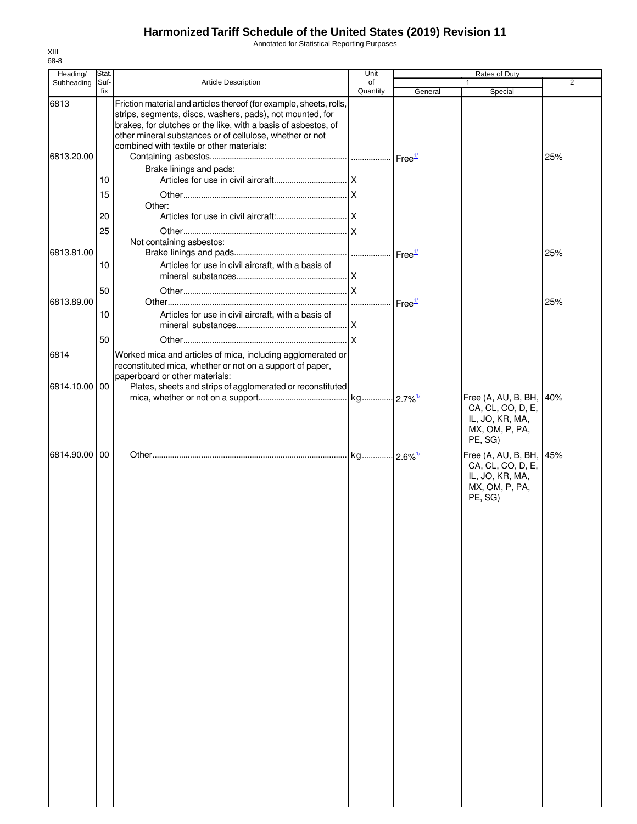Annotated for Statistical Reporting Purposes

| Heading/           | Stat.          |                                                                                                                                                                                                                                                                                                                                        | Unit           |                    | <b>Rates of Duty</b>                                                                         |                |
|--------------------|----------------|----------------------------------------------------------------------------------------------------------------------------------------------------------------------------------------------------------------------------------------------------------------------------------------------------------------------------------------|----------------|--------------------|----------------------------------------------------------------------------------------------|----------------|
| Subheading         | Suf-<br>fix    | Article Description                                                                                                                                                                                                                                                                                                                    | of<br>Quantity | General            | 1<br>Special                                                                                 | $\overline{2}$ |
| 6813<br>6813.20.00 |                | Friction material and articles thereof (for example, sheets, rolls,<br>strips, segments, discs, washers, pads), not mounted, for<br>brakes, for clutches or the like, with a basis of asbestos, of<br>other mineral substances or of cellulose, whether or not<br>combined with textile or other materials:<br>Brake linings and pads: |                |                    |                                                                                              | 25%            |
|                    | 10<br>15<br>20 | Other:                                                                                                                                                                                                                                                                                                                                 |                |                    |                                                                                              |                |
| 6813.81.00         | 25<br>10       | Not containing asbestos:<br>Articles for use in civil aircraft, with a basis of                                                                                                                                                                                                                                                        |                |                    |                                                                                              | 25%            |
| 6813.89.00         | 50<br>10       | Articles for use in civil aircraft, with a basis of                                                                                                                                                                                                                                                                                    |                | Free <sup>1/</sup> |                                                                                              | 25%            |
| 6814               | 50             | Worked mica and articles of mica, including agglomerated or                                                                                                                                                                                                                                                                            |                |                    |                                                                                              |                |
| 6814.10.00 00      |                | reconstituted mica, whether or not on a support of paper,<br>paperboard or other materials:<br>Plates, sheets and strips of agglomerated or reconstituted                                                                                                                                                                              |                |                    | Free (A, AU, B, BH, 40%                                                                      |                |
|                    |                |                                                                                                                                                                                                                                                                                                                                        |                |                    | CA, CL, CO, D, E,<br>IL, JO, KR, MA,<br>MX, OM, P, PA,<br>PE, SG)                            |                |
| 6814.90.00         | 00             |                                                                                                                                                                                                                                                                                                                                        |                |                    | Free (A, AU, B, BH, 45%<br>CA, CL, CO, D, E,<br>IL, JO, KR, MA,<br>MX, OM, P, PA,<br>PE, SG) |                |
|                    |                |                                                                                                                                                                                                                                                                                                                                        |                |                    |                                                                                              |                |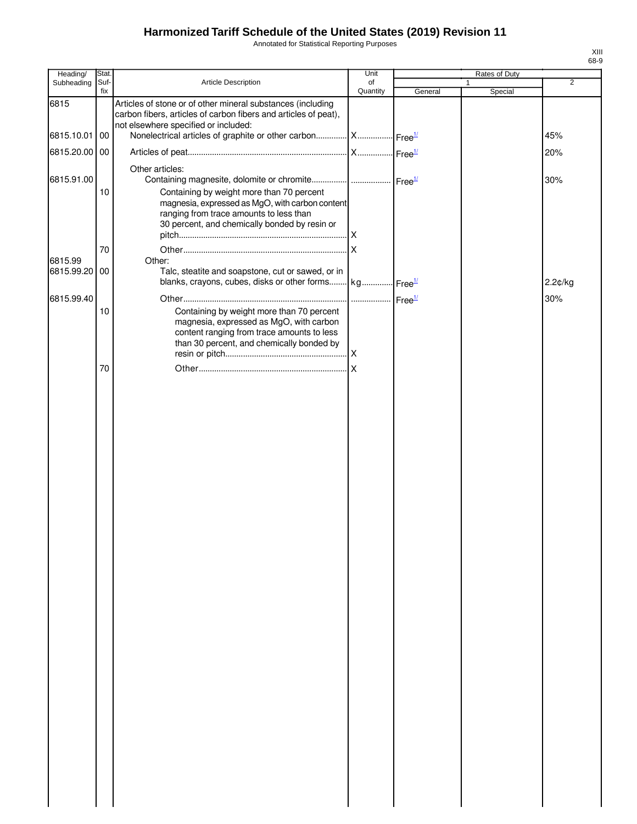Annotated for Statistical Reporting Purposes

| Heading/                 | Stat.       |                                                                                                                                                                                          | Unit           |         | Rates of Duty           |                |
|--------------------------|-------------|------------------------------------------------------------------------------------------------------------------------------------------------------------------------------------------|----------------|---------|-------------------------|----------------|
| Subheading               | Suf-<br>fix | Article Description                                                                                                                                                                      | of<br>Quantity | General | $\mathbf{1}$<br>Special | $\overline{2}$ |
| 6815                     |             | Articles of stone or of other mineral substances (including<br>carbon fibers, articles of carbon fibers and articles of peat),<br>not elsewhere specified or included:                   |                |         |                         |                |
| 6815.10.01               | 00          | Nonelectrical articles of graphite or other carbon  X  Free <sup>1/</sup>                                                                                                                |                |         |                         | 45%            |
| 6815.20.00 00            |             |                                                                                                                                                                                          |                |         |                         | 20%            |
| 6815.91.00               |             | Other articles:<br>Containing magnesite, dolomite or chromite   Free <sup>1/</sup>                                                                                                       |                |         |                         | 30%            |
|                          | 10          | Containing by weight more than 70 percent<br>magnesia, expressed as MgO, with carbon content<br>ranging from trace amounts to less than<br>30 percent, and chemically bonded by resin or |                |         |                         |                |
|                          | 70          |                                                                                                                                                                                          |                |         |                         |                |
| 6815.99<br>6815.99.20 00 |             | Other:<br>Talc, steatite and soapstone, cut or sawed, or in<br>blanks, crayons, cubes, disks or other forms kg Free <sup>1/</sup>                                                        |                |         |                         | 2.2¢/kg        |
| 6815.99.40               |             |                                                                                                                                                                                          |                |         |                         | 30%            |
|                          | 10          | Containing by weight more than 70 percent<br>magnesia, expressed as MgO, with carbon<br>content ranging from trace amounts to less<br>than 30 percent, and chemically bonded by          |                |         |                         |                |
|                          | 70          |                                                                                                                                                                                          |                |         |                         |                |
|                          |             |                                                                                                                                                                                          |                |         |                         |                |
|                          |             |                                                                                                                                                                                          |                |         |                         |                |
|                          |             |                                                                                                                                                                                          |                |         |                         |                |